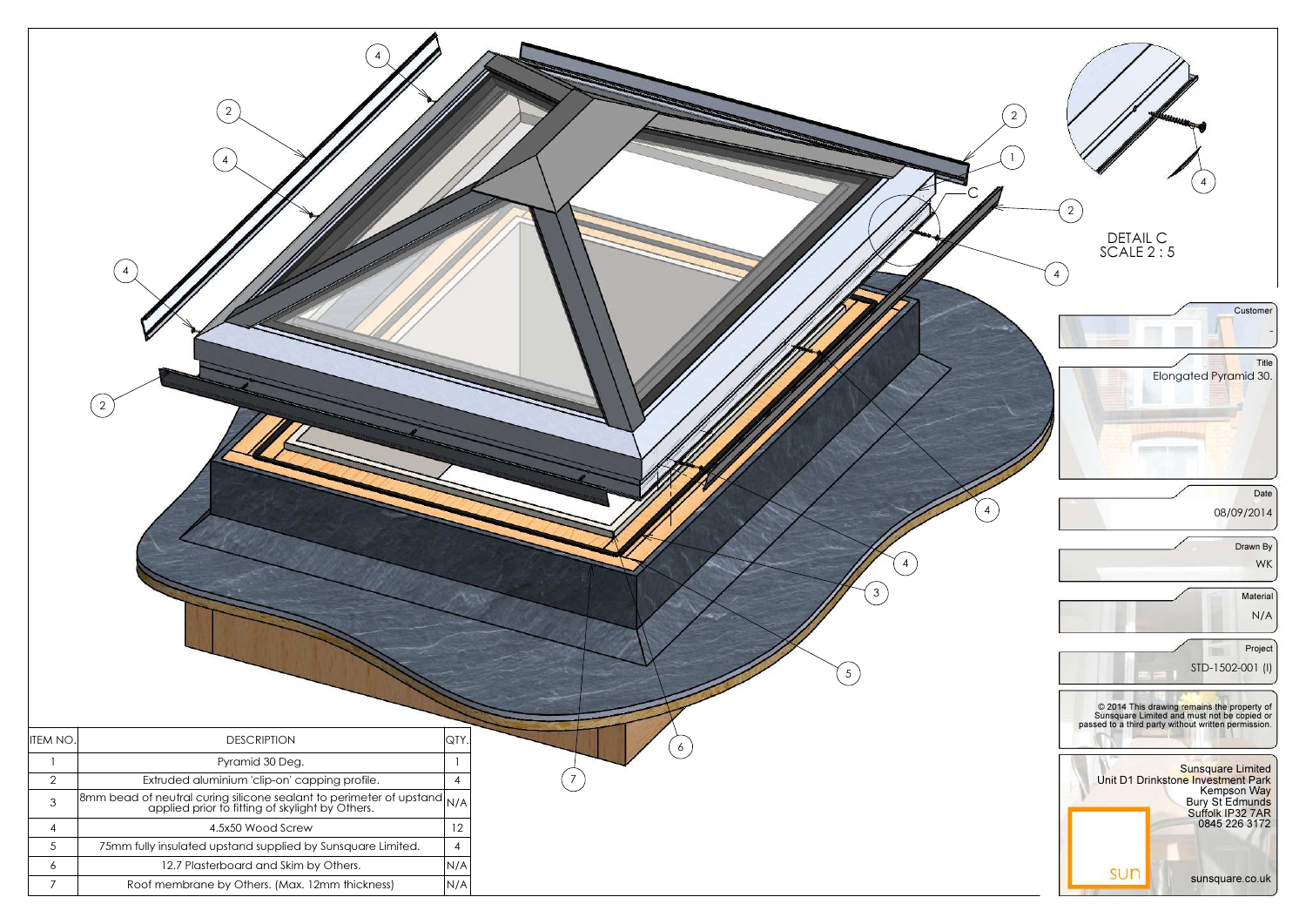

|                 | $\overline{2}$<br>4<br>$\overline{4}$<br>$\overline{2}$                                                                 |                | 4 <sub>7</sub><br>4<br>$\mathfrak{Z}$<br>$5\overline{)}$ |
|-----------------|-------------------------------------------------------------------------------------------------------------------------|----------------|----------------------------------------------------------|
|                 |                                                                                                                         |                |                                                          |
| $ $ ITEM NO.    | <b>DESCRIPTION</b>                                                                                                      | QTY.           | $\begin{bmatrix} 6 \end{bmatrix}$                        |
| $\mathbf{1}$    | Pyramid 30 Deg.                                                                                                         |                |                                                          |
| 2               | Extruded aluminium 'clip-on' capping profile.                                                                           | $\overline{4}$ |                                                          |
| $\mathfrak{Z}$  | 8mm bead of neutral curing silicone sealant to perimeter of upstand N/A applied prior to fitting of skylight by Others. |                |                                                          |
| $\overline{4}$  | 4.5x50 Wood Screw                                                                                                       | 12             |                                                          |
| $5\overline{)}$ | 75mm fully insulated upstand supplied by Sunsquare Limited.                                                             | $\overline{4}$ |                                                          |
| $\epsilon$      | 12.7 Plasterboard and Skim by Others.                                                                                   | N/A            |                                                          |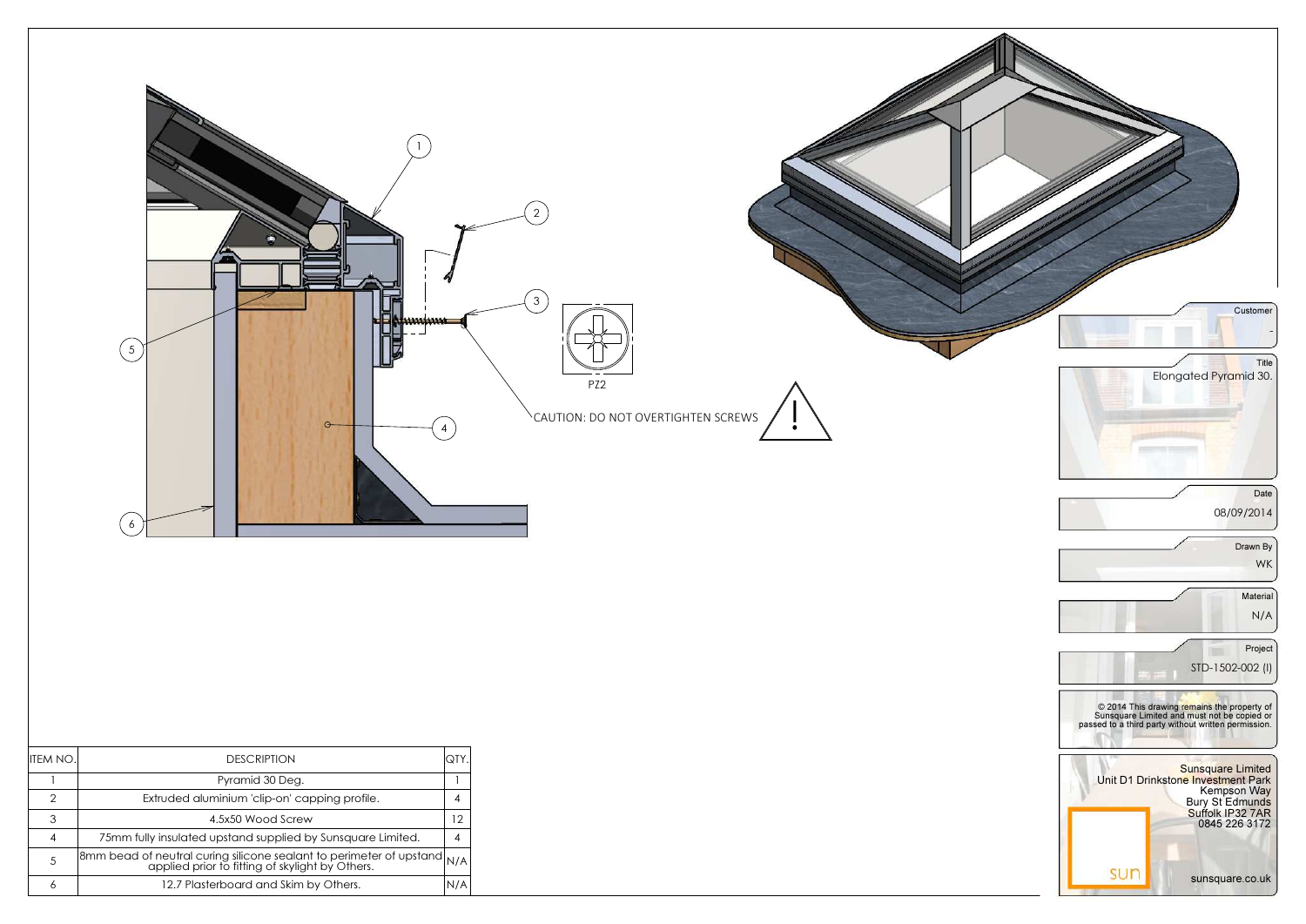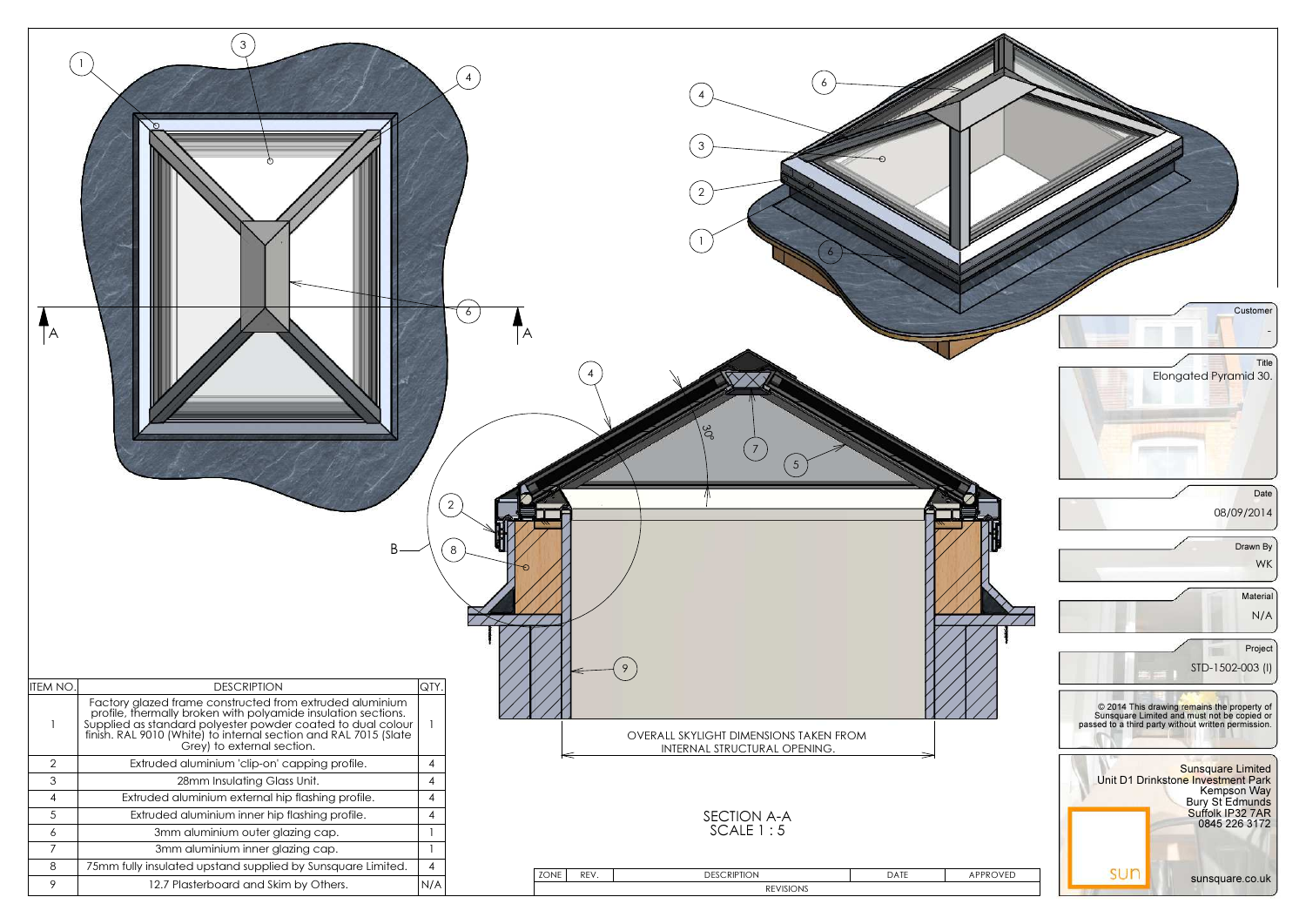